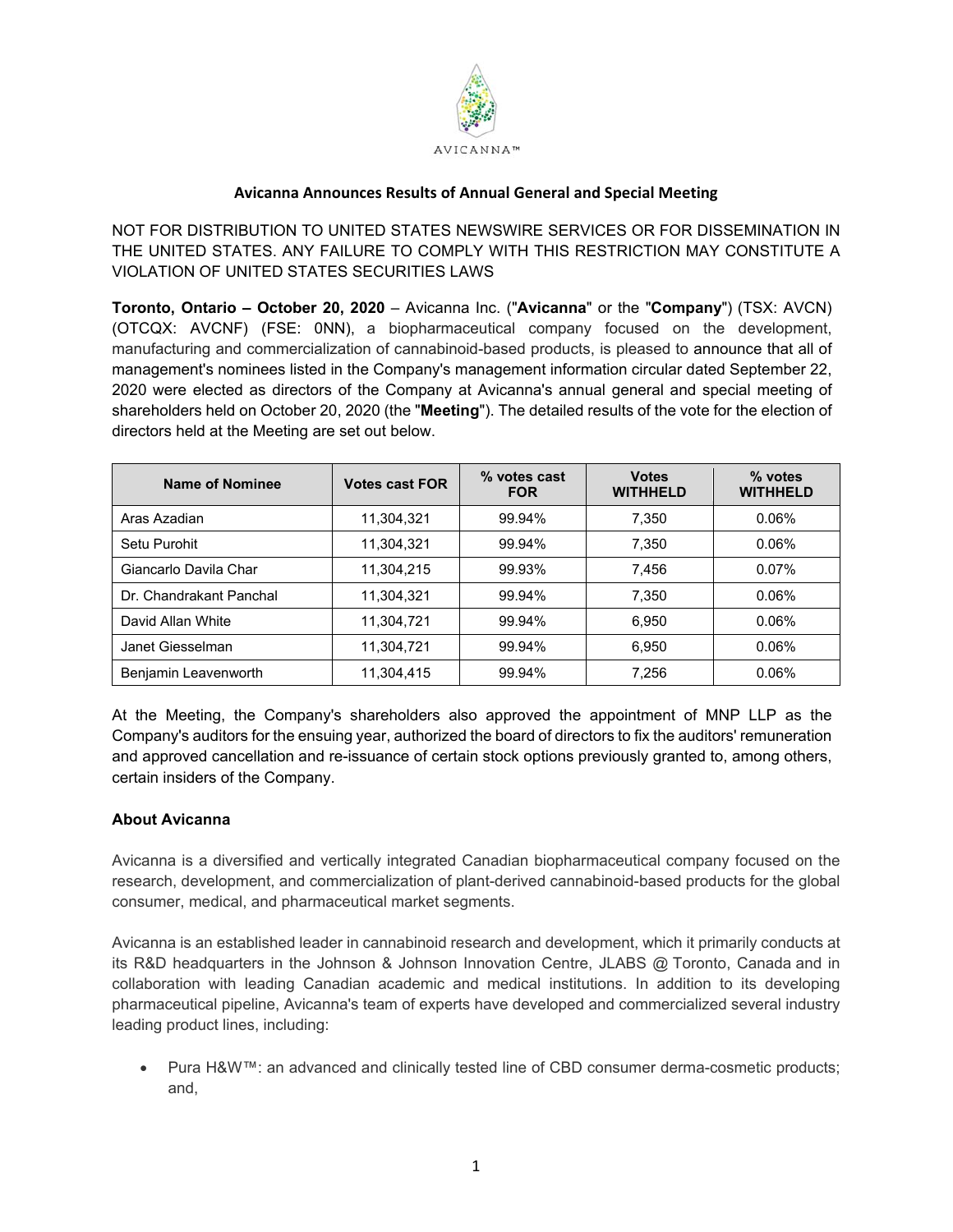

## **Avicanna Announces Results of Annual General and Special Meeting**

NOT FOR DISTRIBUTION TO UNITED STATES NEWSWIRE SERVICES OR FOR DISSEMINATION IN THE UNITED STATES. ANY FAILURE TO COMPLY WITH THIS RESTRICTION MAY CONSTITUTE A VIOLATION OF UNITED STATES SECURITIES LAWS

**Toronto, Ontario – October 20, 2020** – Avicanna Inc. ("**Avicanna**" or the "**Company**") (TSX: AVCN) (OTCQX: AVCNF) (FSE: 0NN), a biopharmaceutical company focused on the development, manufacturing and commercialization of cannabinoid-based products, is pleased to announce that all of management's nominees listed in the Company's management information circular dated September 22, 2020 were elected as directors of the Company at Avicanna's annual general and special meeting of shareholders held on October 20, 2020 (the "**Meeting**"). The detailed results of the vote for the election of directors held at the Meeting are set out below.

| Name of Nominee         | <b>Votes cast FOR</b> | % votes cast<br><b>FOR</b> | <b>Votes</b><br><b>WITHHELD</b> | % votes<br><b>WITHHELD</b> |
|-------------------------|-----------------------|----------------------------|---------------------------------|----------------------------|
| Aras Azadian            | 11,304,321            | 99.94%                     | 7,350                           | $0.06\%$                   |
| Setu Purohit            | 11,304,321            | 99.94%                     | 7,350                           | $0.06\%$                   |
| Giancarlo Davila Char   | 11,304,215            | 99.93%                     | 7.456                           | $0.07\%$                   |
| Dr. Chandrakant Panchal | 11,304,321            | 99.94%                     | 7,350                           | 0.06%                      |
| David Allan White       | 11,304,721            | 99.94%                     | 6,950                           | 0.06%                      |
| Janet Giesselman        | 11,304,721            | 99.94%                     | 6.950                           | 0.06%                      |
| Benjamin Leavenworth    | 11,304,415            | 99.94%                     | 7,256                           | 0.06%                      |

At the Meeting, the Company's shareholders also approved the appointment of MNP LLP as the Company's auditors for the ensuing year, authorized the board of directors to fix the auditors' remuneration and approved cancellation and re-issuance of certain stock options previously granted to, among others, certain insiders of the Company.

## **About Avicanna**

Avicanna is a diversified and vertically integrated Canadian biopharmaceutical company focused on the research, development, and commercialization of plant-derived cannabinoid-based products for the global consumer, medical, and pharmaceutical market segments.

Avicanna is an established leader in cannabinoid research and development, which it primarily conducts at its R&D headquarters in the Johnson & Johnson Innovation Centre, JLABS @ Toronto, Canada and in collaboration with leading Canadian academic and medical institutions. In addition to its developing pharmaceutical pipeline, Avicanna's team of experts have developed and commercialized several industry leading product lines, including:

 Pura H&W™: an advanced and clinically tested line of CBD consumer derma-cosmetic products; and,